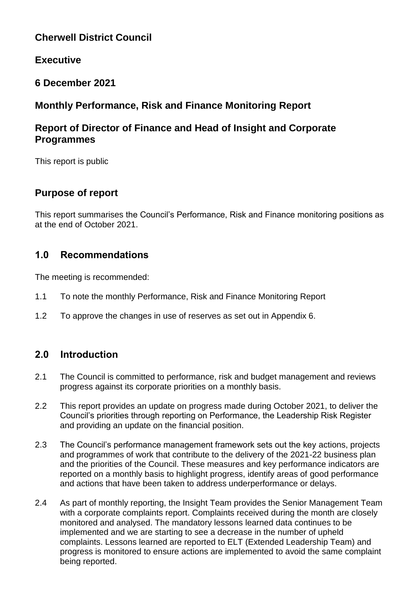# **Cherwell District Council**

## **Executive**

## **6 December 2021**

## **Monthly Performance, Risk and Finance Monitoring Report**

## **Report of Director of Finance and Head of Insight and Corporate Programmes**

This report is public

## **Purpose of report**

This report summarises the Council's Performance, Risk and Finance monitoring positions as at the end of October 2021.

## **1.0 Recommendations**

The meeting is recommended:

- 1.1 To note the monthly Performance, Risk and Finance Monitoring Report
- 1.2 To approve the changes in use of reserves as set out in Appendix 6.

## **2.0 Introduction**

- 2.1 The Council is committed to performance, risk and budget management and reviews progress against its corporate priorities on a monthly basis.
- 2.2 This report provides an update on progress made during October 2021, to deliver the Council's priorities through reporting on Performance, the Leadership Risk Register and providing an update on the financial position.
- 2.3 The Council's performance management framework sets out the key actions, projects and programmes of work that contribute to the delivery of the 2021-22 business plan and the priorities of the Council. These measures and key performance indicators are reported on a monthly basis to highlight progress, identify areas of good performance and actions that have been taken to address underperformance or delays.
- 2.4 As part of monthly reporting, the Insight Team provides the Senior Management Team with a corporate complaints report. Complaints received during the month are closely monitored and analysed. The mandatory lessons learned data continues to be implemented and we are starting to see a decrease in the number of upheld complaints. Lessons learned are reported to ELT (Extended Leadership Team) and progress is monitored to ensure actions are implemented to avoid the same complaint being reported.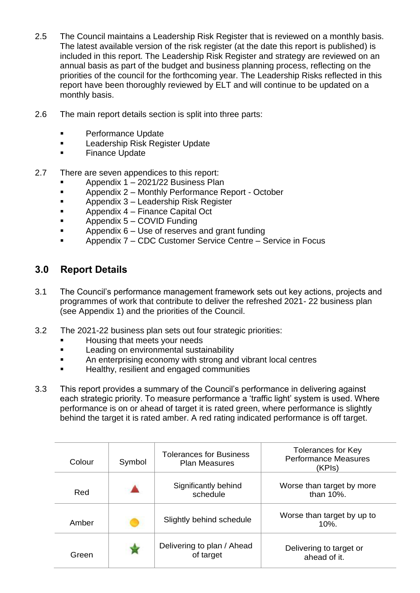- 2.5 The Council maintains a Leadership Risk Register that is reviewed on a monthly basis. The latest available version of the risk register (at the date this report is published) is included in this report. The Leadership Risk Register and strategy are reviewed on an annual basis as part of the budget and business planning process, reflecting on the priorities of the council for the forthcoming year. The Leadership Risks reflected in this report have been thoroughly reviewed by ELT and will continue to be updated on a monthly basis.
- 2.6 The main report details section is split into three parts:
	- **Performance Update**
	- Leadership Risk Register Update
	- Finance Update
- 2.7 There are seven appendices to this report:
	- Appendix 1 2021/22 Business Plan
	- Appendix 2 Monthly Performance Report October
	- Appendix 3 Leadership Risk Register
	- **Appendix 4 Finance Capital Oct**
	- $\blacksquare$  Appendix  $5 \text{COVID}$  Funding
	- **EXECUTE:** Appendix 6 Use of reserves and grant funding
	- Appendix 7 CDC Customer Service Centre Service in Focus

# **3.0 Report Details**

- 3.1 The Council's performance management framework sets out key actions, projects and programmes of work that contribute to deliver the refreshed 2021- 22 business plan (see Appendix 1) and the priorities of the Council.
- 3.2 The 2021-22 business plan sets out four strategic priorities:
	- Housing that meets your needs
	- **Leading on environmental sustainability**
	- An enterprising economy with strong and vibrant local centres
	- **Healthy, resilient and engaged communities**
- 3.3 This report provides a summary of the Council's performance in delivering against each strategic priority. To measure performance a 'traffic light' system is used. Where performance is on or ahead of target it is rated green, where performance is slightly behind the target it is rated amber. A red rating indicated performance is off target.

| Colour | Symbol | <b>Tolerances for Business</b><br><b>Plan Measures</b> | <b>Tolerances for Key</b><br><b>Performance Measures</b><br>(KPIs) |
|--------|--------|--------------------------------------------------------|--------------------------------------------------------------------|
| Red    |        | Significantly behind<br>schedule                       | Worse than target by more<br>than 10%.                             |
| Amber  |        | Slightly behind schedule                               | Worse than target by up to<br>$10%$ .                              |
| Green  |        | Delivering to plan / Ahead<br>of target                | Delivering to target or<br>ahead of it.                            |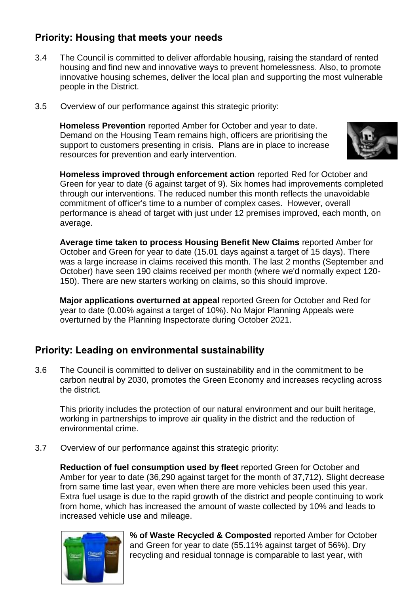# **Priority: Housing that meets your needs**

- 3.4 The Council is committed to deliver affordable housing, raising the standard of rented housing and find new and innovative ways to prevent homelessness. Also, to promote innovative housing schemes, deliver the local plan and supporting the most vulnerable people in the District.
- 3.5 Overview of our performance against this strategic priority:

**Homeless Prevention** reported Amber for October and year to date. Demand on the Housing Team remains high, officers are prioritising the support to customers presenting in crisis. Plans are in place to increase resources for prevention and early intervention.



 **Homeless improved through enforcement action** reported Red for October and Green for year to date (6 against target of 9). Six homes had improvements completed through our interventions. The reduced number this month reflects the unavoidable commitment of officer's time to a number of complex cases. However, overall performance is ahead of target with just under 12 premises improved, each month, on average.

 **Average time taken to process Housing Benefit New Claims** reported Amber for October and Green for year to date (15.01 days against a target of 15 days). There was a large increase in claims received this month. The last 2 months (September and October) have seen 190 claims received per month (where we'd normally expect 120- 150). There are new starters working on claims, so this should improve.

 **Major applications overturned at appeal** reported Green for October and Red for year to date (0.00% against a target of 10%). No Major Planning Appeals were overturned by the Planning Inspectorate during October 2021.

## **Priority: Leading on environmental sustainability**

3.6 The Council is committed to deliver on sustainability and in the commitment to be carbon neutral by 2030, promotes the Green Economy and increases recycling across the district.

This priority includes the protection of our natural environment and our built heritage, working in partnerships to improve air quality in the district and the reduction of environmental crime.

3.7 Overview of our performance against this strategic priority:

**Reduction of fuel consumption used by fleet** reported Green for October and Amber for year to date (36,290 against target for the month of 37,712). Slight decrease from same time last year, even when there are more vehicles been used this year. Extra fuel usage is due to the rapid growth of the district and people continuing to work from home, which has increased the amount of waste collected by 10% and leads to increased vehicle use and mileage.



**% of Waste Recycled & Composted** reported Amber for October and Green for year to date (55.11% against target of 56%). Dry recycling and residual tonnage is comparable to last year, with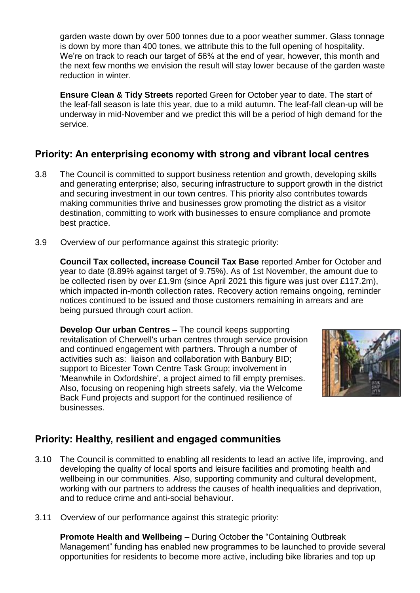garden waste down by over 500 tonnes due to a poor weather summer. Glass tonnage is down by more than 400 tones, we attribute this to the full opening of hospitality. We're on track to reach our target of 56% at the end of year, however, this month and the next few months we envision the result will stay lower because of the garden waste reduction in winter.

**Ensure Clean & Tidy Streets** reported Green for October year to date. The start of the leaf-fall season is late this year, due to a mild autumn. The leaf-fall clean-up will be underway in mid-November and we predict this will be a period of high demand for the service.

# **Priority: An enterprising economy with strong and vibrant local centres**

- 3.8 The Council is committed to support business retention and growth, developing skills and generating enterprise; also, securing infrastructure to support growth in the district and securing investment in our town centres. This priority also contributes towards making communities thrive and businesses grow promoting the district as a visitor destination, committing to work with businesses to ensure compliance and promote best practice.
- 3.9 Overview of our performance against this strategic priority:

**Council Tax collected, increase Council Tax Base** reported Amber for October and year to date (8.89% against target of 9.75%). As of 1st November, the amount due to be collected risen by over £1.9m (since April 2021 this figure was just over £117.2m), which impacted in-month collection rates. Recovery action remains ongoing, reminder notices continued to be issued and those customers remaining in arrears and are being pursued through court action.

**Develop Our urban Centres –** The council keeps supporting revitalisation of Cherwell's urban centres through service provision and continued engagement with partners. Through a number of activities such as: liaison and collaboration with Banbury BID; support to Bicester Town Centre Task Group; involvement in 'Meanwhile in Oxfordshire', a project aimed to fill empty premises. Also, focusing on reopening high streets safely, via the Welcome Back Fund projects and support for the continued resilience of businesses.



## **Priority: Healthy, resilient and engaged communities**

- 3.10 The Council is committed to enabling all residents to lead an active life, improving, and developing the quality of local sports and leisure facilities and promoting health and wellbeing in our communities. Also, supporting community and cultural development, working with our partners to address the causes of health inequalities and deprivation, and to reduce crime and anti-social behaviour.
- 3.11 Overview of our performance against this strategic priority:

**Promote Health and Wellbeing –** During October the "Containing Outbreak Management" funding has enabled new programmes to be launched to provide several opportunities for residents to become more active, including bike libraries and top up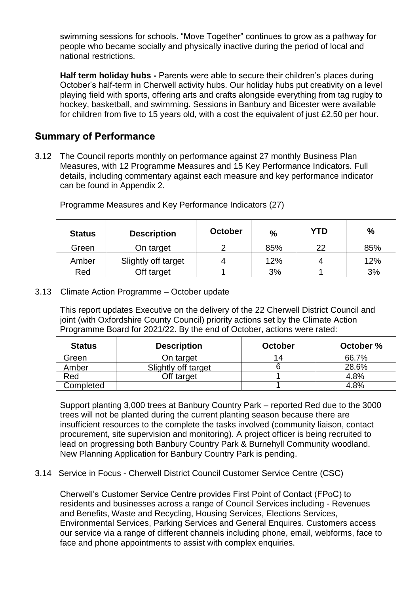swimming sessions for schools. "Move Together" continues to grow as a pathway for people who became socially and physically inactive during the period of local and national restrictions.

**Half term holiday hubs -** Parents were able to secure their children's places during October's half-term in Cherwell activity hubs. Our holiday hubs put creativity on a level playing field with sports, offering arts and crafts alongside everything from tag rugby to hockey, basketball, and swimming. Sessions in Banbury and Bicester were available for children from five to 15 years old, with a cost the equivalent of just £2.50 per hour.

## **Summary of Performance**

3.12 The Council reports monthly on performance against 27 monthly Business Plan Measures, with 12 Programme Measures and 15 Key Performance Indicators. Full details, including commentary against each measure and key performance indicator can be found in Appendix 2.

| <b>Status</b> | <b>Description</b>  | <b>October</b> | $\frac{0}{0}$ | YTD | %   |
|---------------|---------------------|----------------|---------------|-----|-----|
| Green         | On target           |                | 85%           | 22  | 85% |
| Amber         | Slightly off target |                | 12%           | 4   | 12% |
| Red           | Off target          |                | 3%            |     | 3%  |

Programme Measures and Key Performance Indicators (27)

3.13 Climate Action Programme – October update

This report updates Executive on the delivery of the 22 Cherwell District Council and joint (with Oxfordshire County Council) priority actions set by the Climate Action Programme Board for 2021/22. By the end of October, actions were rated:

| <b>Status</b> | <b>Description</b>  | October | October % |
|---------------|---------------------|---------|-----------|
| Green         | On target           |         | 66.7%     |
| Amber         | Slightly off target |         | 28.6%     |
| Red           | Off target          |         | 4.8%      |
| Completed     |                     |         | 4.8%      |

Support planting 3,000 trees at Banbury Country Park – reported Red due to the 3000 trees will not be planted during the current planting season because there are insufficient resources to the complete the tasks involved (community liaison, contact procurement, site supervision and monitoring). A project officer is being recruited to lead on progressing both Banbury Country Park & Burnehyll Community woodland. New Planning Application for Banbury Country Park is pending.

3.14 Service in Focus - Cherwell District Council Customer Service Centre (CSC)

Cherwell's Customer Service Centre provides First Point of Contact (FPoC) to residents and businesses across a range of Council Services including - Revenues and Benefits, Waste and Recycling, Housing Services, Elections Services, Environmental Services, Parking Services and General Enquires. Customers access our service via a range of different channels including phone, email, webforms, face to face and phone appointments to assist with complex enquiries.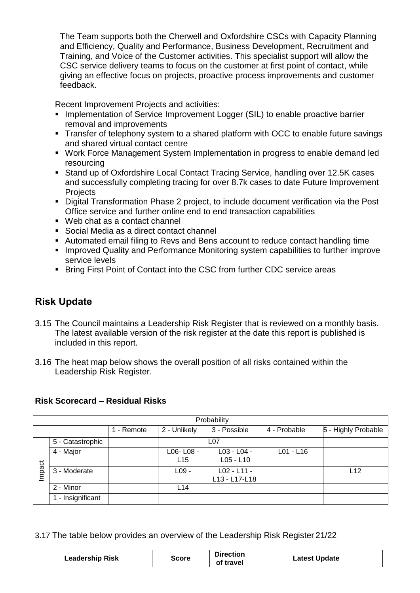The Team supports both the Cherwell and Oxfordshire CSCs with Capacity Planning and Efficiency, Quality and Performance, Business Development, Recruitment and Training, and Voice of the Customer activities. This specialist support will allow the CSC service delivery teams to focus on the customer at first point of contact, while giving an effective focus on projects, proactive process improvements and customer feedback.

Recent Improvement Projects and activities:

- **Implementation of Service Improvement Logger (SIL) to enable proactive barrier** removal and improvements
- **Transfer of telephony system to a shared platform with OCC to enable future savings** and shared virtual contact centre
- Work Force Management System Implementation in progress to enable demand led resourcing
- Stand up of Oxfordshire Local Contact Tracing Service, handling over 12.5K cases and successfully completing tracing for over 8.7k cases to date Future Improvement **Projects**
- Digital Transformation Phase 2 project, to include document verification via the Post Office service and further online end to end transaction capabilities
- Web chat as a contact channel
- Social Media as a direct contact channel
- Automated email filing to Revs and Bens account to reduce contact handling time
- **IMPROVED Quality and Performance Monitoring system capabilities to further improve** service levels
- Bring First Point of Contact into the CSC from further CDC service areas

# **Risk Update**

- 3.15 The Council maintains a Leadership Risk Register that is reviewed on a monthly basis. The latest available version of the risk register at the date this report is published is included in this report.
- 3.16 The heat map below shows the overall position of all risks contained within the Leadership Risk Register.

#### **Risk Scorecard – Residual Risks**

|        | Probability                                                                     |  |                 |                                |             |     |  |  |  |
|--------|---------------------------------------------------------------------------------|--|-----------------|--------------------------------|-------------|-----|--|--|--|
|        | 3 - Possible<br>4 - Probable<br>5 - Highly Probable<br>2 - Unlikely<br>- Remote |  |                 |                                |             |     |  |  |  |
|        | 5 - Catastrophic                                                                |  |                 | L07                            |             |     |  |  |  |
|        | 4 - Major                                                                       |  | L06-L08-<br>L15 | L03 - L04 -<br>$L05 - L10$     | $L01 - L16$ |     |  |  |  |
| Impact | 3 - Moderate                                                                    |  | $L09$ -         | $L02 - L11 -$<br>L13 - L17-L18 |             | L12 |  |  |  |
|        | 2 - Minor                                                                       |  | L <sub>14</sub> |                                |             |     |  |  |  |
|        | - Insignificant                                                                 |  |                 |                                |             |     |  |  |  |

3.17 The table below provides an overview of the Leadership Risk Register 21/22

| <b>Leadership Risk</b><br>Score | Direction<br>of travel | <b>Latest Update</b> |
|---------------------------------|------------------------|----------------------|
|---------------------------------|------------------------|----------------------|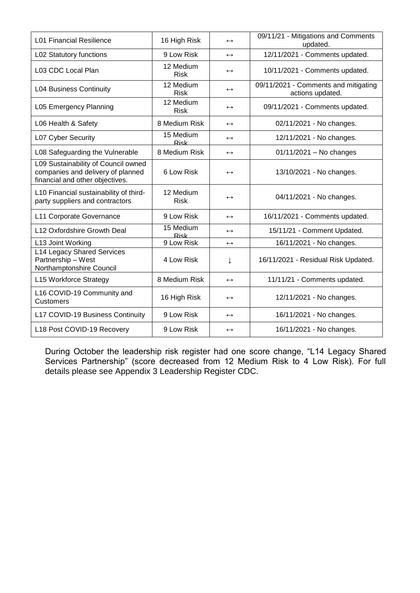| <b>L01 Financial Resilience</b>                                                                             | 16 High Risk             | $\leftrightarrow$ | 09/11/21 - Mitigations and Comments<br>updated.          |
|-------------------------------------------------------------------------------------------------------------|--------------------------|-------------------|----------------------------------------------------------|
| L02 Statutory functions                                                                                     | 9 Low Risk               | $\leftrightarrow$ | 12/11/2021 - Comments updated.                           |
| L03 CDC Local Plan                                                                                          | 12 Medium<br><b>Risk</b> | $\leftrightarrow$ | 10/11/2021 - Comments updated.                           |
| <b>L04 Business Continuity</b>                                                                              | 12 Medium<br><b>Risk</b> | $\leftrightarrow$ | 09/11/2021 - Comments and mitigating<br>actions updated. |
| L05 Emergency Planning                                                                                      | 12 Medium<br><b>Risk</b> | $\leftrightarrow$ | 09/11/2021 - Comments updated.                           |
| L06 Health & Safety                                                                                         | 8 Medium Risk            | $\leftrightarrow$ | 02/11/2021 - No changes.                                 |
| L07 Cyber Security                                                                                          | 15 Medium<br>Risk        | $\leftrightarrow$ | 12/11/2021 - No changes.                                 |
| L08 Safeguarding the Vulnerable                                                                             | 8 Medium Risk            | $\leftrightarrow$ | $01/11/2021 - No changes$                                |
| L09 Sustainability of Council owned<br>companies and delivery of planned<br>financial and other objectives. | 6 Low Risk               | $\leftrightarrow$ | 13/10/2021 - No changes.                                 |
| L10 Financial sustainability of third-<br>party suppliers and contractors                                   | 12 Medium<br><b>Risk</b> | $\leftrightarrow$ | 04/11/2021 - No changes.                                 |
| L11 Corporate Governance                                                                                    | 9 Low Risk               | $\leftrightarrow$ | 16/11/2021 - Comments updated.                           |
| L12 Oxfordshire Growth Deal                                                                                 | 15 Medium<br><b>Risk</b> | $\leftrightarrow$ | 15/11/21 - Comment Updated.                              |
| L13 Joint Working                                                                                           | 9 Low Risk               | $\leftrightarrow$ | 16/11/2021 - No changes.                                 |
| <b>L14 Legacy Shared Services</b><br>Partnership - West<br>Northamptonshire Council                         | 4 Low Risk               | ↓                 | 16/11/2021 - Residual Risk Updated.                      |
| L15 Workforce Strategy                                                                                      | 8 Medium Risk            | $\leftrightarrow$ | 11/11/21 - Comments updated.                             |
| L16 COVID-19 Community and<br><b>Customers</b>                                                              | 16 High Risk             | $\leftrightarrow$ | 12/11/2021 - No changes.                                 |
| L17 COVID-19 Business Continuity                                                                            | 9 Low Risk               | $\leftrightarrow$ | 16/11/2021 - No changes.                                 |
| L18 Post COVID-19 Recovery                                                                                  | 9 Low Risk               | $\leftrightarrow$ | 16/11/2021 - No changes.                                 |

During October the leadership risk register had one score change, "L14 Legacy Shared Services Partnership" (score decreased from 12 Medium Risk to 4 Low Risk). For full details please see Appendix 3 Leadership Register CDC.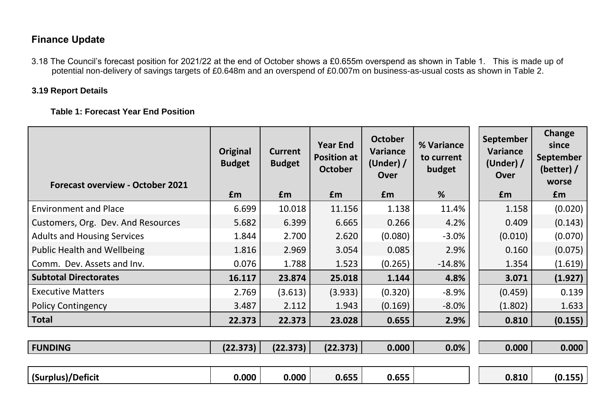# **Finance Update**

 3.18 The Council's forecast position for 2021/22 at the end of October shows a £0.655m overspend as shown in Table 1. This is made up of potential non-delivery of savings targets of £0.648m and an overspend of £0.007m on business-as-usual costs as shown in Table 2.

### **3.19 Report Details**

 **Table 1: Forecast Year End Position** 

| <b>Forecast overview - October 2021</b> | Original<br><b>Budget</b> | <b>Current</b><br><b>Budget</b> | <b>Year End</b><br><b>Position at</b><br><b>October</b> | <b>October</b><br>Variance<br>(Under) $/$<br>Over | % Variance<br>to current<br>budget | September<br>Variance<br>(Under) $/$<br><b>Over</b> | Change<br>since<br><b>September</b><br>(better) $/$<br>worse |
|-----------------------------------------|---------------------------|---------------------------------|---------------------------------------------------------|---------------------------------------------------|------------------------------------|-----------------------------------------------------|--------------------------------------------------------------|
|                                         | £m                        | Em                              | £m                                                      | £m                                                | %                                  | <b>f</b> m                                          | £m                                                           |
| <b>Environment and Place</b>            | 6.699                     | 10.018                          | 11.156                                                  | 1.138                                             | 11.4%                              | 1.158                                               | (0.020)                                                      |
| Customers, Org. Dev. And Resources      | 5.682                     | 6.399                           | 6.665                                                   | 0.266                                             | 4.2%                               | 0.409                                               | (0.143)                                                      |
| <b>Adults and Housing Services</b>      | 1.844                     | 2.700                           | 2.620                                                   | (0.080)                                           | $-3.0%$                            | (0.010)                                             | (0.070)                                                      |
| <b>Public Health and Wellbeing</b>      | 1.816                     | 2.969                           | 3.054                                                   | 0.085                                             | 2.9%                               | 0.160                                               | (0.075)                                                      |
| Comm. Dev. Assets and Inv.              | 0.076                     | 1.788                           | 1.523                                                   | (0.265)                                           | $-14.8%$                           | 1.354                                               | (1.619)                                                      |
| <b>Subtotal Directorates</b>            | 16.117                    | 23.874                          | 25.018                                                  | 1.144                                             | 4.8%                               | 3.071                                               | (1.927)                                                      |
| <b>Executive Matters</b>                | 2.769                     | (3.613)                         | (3.933)                                                 | (0.320)                                           | $-8.9%$                            | (0.459)                                             | 0.139                                                        |
| <b>Policy Contingency</b>               | 3.487                     | 2.112                           | 1.943                                                   | (0.169)                                           | $-8.0\%$                           | (1.802)                                             | 1.633                                                        |
| <b>Total</b>                            | 22.373                    | 22.373                          | 23.028                                                  | 0.655                                             | 2.9%                               | 0.810                                               | (0.155)                                                      |
|                                         |                           |                                 |                                                         |                                                   |                                    |                                                     |                                                              |
| <b>FUNDING</b>                          | (22.373)                  | (22.373)                        | (22.373)                                                | 0.000                                             | 0.0%                               | 0.000                                               | 0.000                                                        |
|                                         |                           |                                 |                                                         |                                                   |                                    |                                                     |                                                              |
| (Surplus)/Deficit                       | 0.000                     | 0.000                           | 0.655                                                   | 0.655                                             |                                    | 0.810                                               | (0.155)                                                      |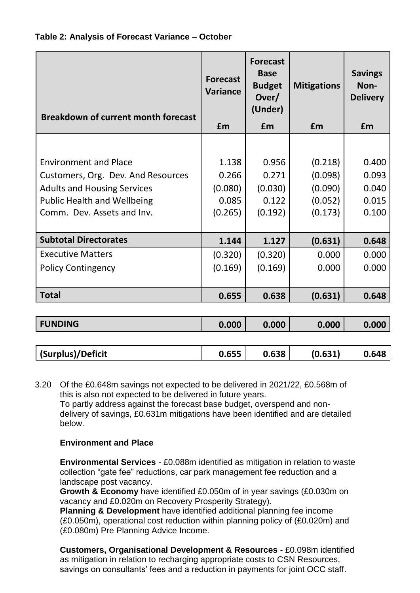

| <b>Breakdown of current month forecast</b> | <b>Forecast</b><br><b>Variance</b> | <b>Forecast</b><br><b>Base</b><br><b>Budget</b><br>Over/<br>(Under) | <b>Mitigations</b> | <b>Savings</b><br>Non-<br><b>Delivery</b> |
|--------------------------------------------|------------------------------------|---------------------------------------------------------------------|--------------------|-------------------------------------------|
|                                            | £m                                 | £m                                                                  | £m                 | £m                                        |
|                                            |                                    |                                                                     |                    |                                           |
| <b>Environment and Place</b>               | 1.138                              | 0.956                                                               | (0.218)            | 0.400                                     |
| Customers, Org. Dev. And Resources         | 0.266                              | 0.271                                                               | (0.098)            | 0.093                                     |
| <b>Adults and Housing Services</b>         | (0.080)                            | (0.030)                                                             | (0.090)            | 0.040                                     |
| <b>Public Health and Wellbeing</b>         | 0.085                              | 0.122                                                               | (0.052)            | 0.015                                     |
| Comm. Dev. Assets and Inv.                 | (0.265)                            | (0.192)                                                             | (0.173)            | 0.100                                     |
|                                            |                                    |                                                                     |                    |                                           |
| <b>Subtotal Directorates</b>               | 1.144                              | 1.127                                                               | (0.631)            | 0.648                                     |
| <b>Executive Matters</b>                   | (0.320)                            | (0.320)                                                             | 0.000              | 0.000                                     |
| <b>Policy Contingency</b>                  | (0.169)                            | (0.169)                                                             | 0.000              | 0.000                                     |
|                                            |                                    |                                                                     |                    |                                           |
| <b>Total</b>                               | 0.655                              | 0.638                                                               | (0.631)            | 0.648                                     |
|                                            |                                    |                                                                     |                    |                                           |
| <b>FUNDING</b>                             | 0.000                              | 0.000                                                               | 0.000              | 0.000                                     |
|                                            |                                    |                                                                     |                    |                                           |
| (Surplus)/Deficit                          | 0.655                              | 0.638                                                               | (0.631)            | 0.648                                     |

3.20 Of the £0.648m savings not expected to be delivered in 2021/22, £0.568m of this is also not expected to be delivered in future years. To partly address against the forecast base budget, overspend and nondelivery of savings, £0.631m mitigations have been identified and are detailed below.

## **Environment and Place**

**Environmental Services** - £0.088m identified as mitigation in relation to waste collection "gate fee" reductions, car park management fee reduction and a landscape post vacancy.

**Growth & Economy** have identified £0.050m of in year savings (£0.030m on vacancy and £0.020m on Recovery Prosperity Strategy).

**Planning & Development** have identified additional planning fee income (£0.050m), operational cost reduction within planning policy of (£0.020m) and (£0.080m) Pre Planning Advice Income.

**Customers, Organisational Development & Resources** - £0.098m identified as mitigation in relation to recharging appropriate costs to CSN Resources, savings on consultants' fees and a reduction in payments for joint OCC staff.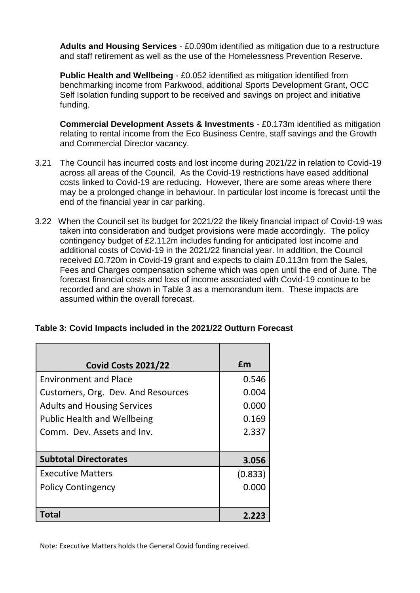**Adults and Housing Services** - £0.090m identified as mitigation due to a restructure and staff retirement as well as the use of the Homelessness Prevention Reserve.

**Public Health and Wellbeing** - £0.052 identified as mitigation identified from benchmarking income from Parkwood, additional Sports Development Grant, OCC Self Isolation funding support to be received and savings on project and initiative funding.

**Commercial Development Assets & Investments** - £0.173m identified as mitigation relating to rental income from the Eco Business Centre, staff savings and the Growth and Commercial Director vacancy.

- 3.21 The Council has incurred costs and lost income during 2021/22 in relation to Covid-19 across all areas of the Council. As the Covid-19 restrictions have eased additional costs linked to Covid-19 are reducing. However, there are some areas where there may be a prolonged change in behaviour. In particular lost income is forecast until the end of the financial year in car parking.
- 3.22 When the Council set its budget for 2021/22 the likely financial impact of Covid-19 was taken into consideration and budget provisions were made accordingly. The policy contingency budget of £2.112m includes funding for anticipated lost income and additional costs of Covid-19 in the 2021/22 financial year. In addition, the Council received £0.720m in Covid-19 grant and expects to claim £0.113m from the Sales, Fees and Charges compensation scheme which was open until the end of June. The forecast financial costs and loss of income associated with Covid-19 continue to be recorded and are shown in Table 3 as a memorandum item. These impacts are assumed within the overall forecast.

| <b>Covid Costs 2021/22</b>         | £m      |
|------------------------------------|---------|
| <b>Environment and Place</b>       | 0.546   |
| Customers, Org. Dev. And Resources | 0.004   |
| <b>Adults and Housing Services</b> | 0.000   |
| <b>Public Health and Wellbeing</b> | 0.169   |
| Comm. Dev. Assets and Inv.         | 2.337   |
|                                    |         |
| <b>Subtotal Directorates</b>       | 3.056   |
| <b>Executive Matters</b>           | (0.833) |
| <b>Policy Contingency</b>          | 0.000   |
|                                    |         |
| Total                              | 2.223   |

### **Table 3: Covid Impacts included in the 2021/22 Outturn Forecast**

Note: Executive Matters holds the General Covid funding received.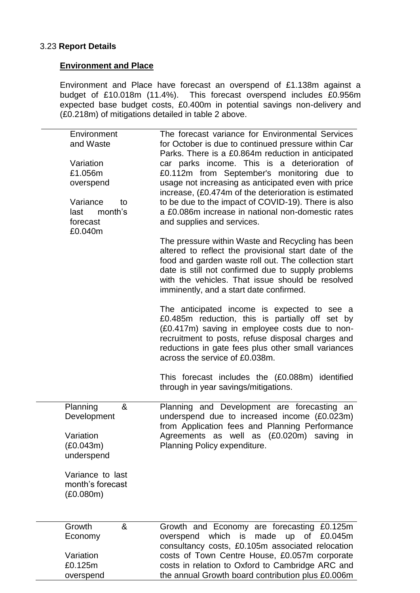#### 3.23 **Report Details**

overspend

#### **Environment and Place**

Environment and Place have forecast an overspend of £1.138m against a budget of £10.018m (11.4%). This forecast overspend includes £0.956m expected base budget costs, £0.400m in potential savings non-delivery and (£0.218m) of mitigations detailed in table 2 above.

| Environment<br>and Waste<br>Variation<br>£1.056m<br>overspend<br>Variance<br>to<br>month's<br>last<br>forecast<br>£0.040m | The forecast variance for Environmental Services<br>for October is due to continued pressure within Car<br>Parks. There is a £0.864m reduction in anticipated<br>car parks income. This is a deterioration of<br>£0.112m from September's monitoring due to<br>usage not increasing as anticipated even with price<br>increase, (£0.474m of the deterioration is estimated<br>to be due to the impact of COVID-19). There is also<br>a £0.086m increase in national non-domestic rates<br>and supplies and services. |
|---------------------------------------------------------------------------------------------------------------------------|----------------------------------------------------------------------------------------------------------------------------------------------------------------------------------------------------------------------------------------------------------------------------------------------------------------------------------------------------------------------------------------------------------------------------------------------------------------------------------------------------------------------|
|                                                                                                                           | The pressure within Waste and Recycling has been<br>altered to reflect the provisional start date of the<br>food and garden waste roll out. The collection start<br>date is still not confirmed due to supply problems<br>with the vehicles. That issue should be resolved<br>imminently, and a start date confirmed.                                                                                                                                                                                                |
|                                                                                                                           | The anticipated income is expected to see a<br>£0.485m reduction, this is partially off set by<br>(£0.417m) saving in employee costs due to non-<br>recruitment to posts, refuse disposal charges and<br>reductions in gate fees plus other small variances<br>across the service of £0.038m.                                                                                                                                                                                                                        |
|                                                                                                                           | This forecast includes the (£0.088m) identified<br>through in year savings/mitigations.                                                                                                                                                                                                                                                                                                                                                                                                                              |
| Planning<br>&<br>Development<br>Variation<br>(E0.043m)<br>underspend                                                      | Planning and Development are forecasting an<br>underspend due to increased income (£0.023m)<br>from Application fees and Planning Performance<br>Agreements as well as (£0.020m) saving in<br>Planning Policy expenditure.                                                                                                                                                                                                                                                                                           |
| Variance to last<br>month's forecast<br>(E0.080m)                                                                         |                                                                                                                                                                                                                                                                                                                                                                                                                                                                                                                      |
| Growth<br>&<br>Economy<br>Variation<br>£0.125m                                                                            | Growth and Economy are forecasting £0.125m<br>which is made up of<br>£0.045m<br>overspend<br>consultancy costs, £0.105m associated relocation<br>costs of Town Centre House, £0.057m corporate<br>costs in relation to Oxford to Cambridge ARC and                                                                                                                                                                                                                                                                   |

the annual Growth board contribution plus £0.006m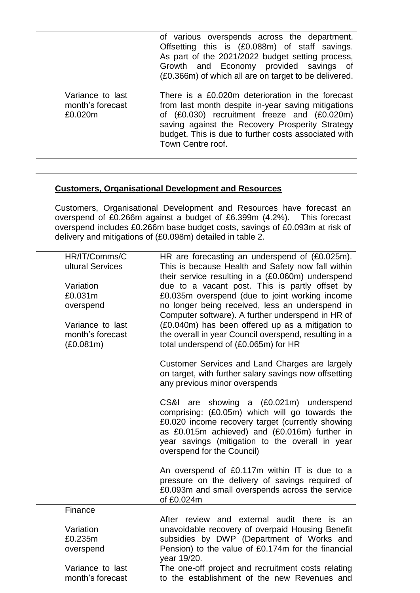of various overspends across the department. Offsetting this is (£0.088m) of staff savings. As part of the 2021/2022 budget setting process, Growth and Economy provided savings of (£0.366m) of which all are on target to be delivered.

Variance to last month's forecast £0.020m There is a £0.020m deterioration in the forecast from last month despite in-year saving mitigations of (£0.030) recruitment freeze and (£0.020m) saving against the Recovery Prosperity Strategy budget. This is due to further costs associated with Town Centre roof.

#### **Customers, Organisational Development and Resources**

Customers, Organisational Development and Resources have forecast an overspend of £0.266m against a budget of £6.399m (4.2%). This forecast overspend includes £0.266m base budget costs, savings of £0.093m at risk of delivery and mitigations of (£0.098m) detailed in table 2.

| HR/IT/Comms/C<br>ultural Services | HR are forecasting an underspend of (£0.025m).                                                                                                                                                                                                                                        |
|-----------------------------------|---------------------------------------------------------------------------------------------------------------------------------------------------------------------------------------------------------------------------------------------------------------------------------------|
|                                   | This is because Health and Safety now fall within<br>their service resulting in a (£0.060m) underspend                                                                                                                                                                                |
| Variation                         | due to a vacant post. This is partly offset by                                                                                                                                                                                                                                        |
| £0.031m                           | £0.035m overspend (due to joint working income                                                                                                                                                                                                                                        |
| overspend                         | no longer being received, less an underspend in                                                                                                                                                                                                                                       |
|                                   | Computer software). A further underspend in HR of                                                                                                                                                                                                                                     |
| Variance to last                  | (£0.040m) has been offered up as a mitigation to                                                                                                                                                                                                                                      |
| month's forecast                  | the overall in year Council overspend, resulting in a                                                                                                                                                                                                                                 |
| (E0.081m)                         | total underspend of (£0.065m) for HR                                                                                                                                                                                                                                                  |
|                                   | Customer Services and Land Charges are largely<br>on target, with further salary savings now offsetting<br>any previous minor overspends                                                                                                                                              |
|                                   | showing a (£0.021m) underspend<br>CS&I<br>are<br>comprising: (£0.05m) which will go towards the<br>£0.020 income recovery target (currently showing<br>as £0.015m achieved) and (£0.016m) further in<br>year savings (mitigation to the overall in year<br>overspend for the Council) |
|                                   | An overspend of £0.117m within IT is due to a<br>pressure on the delivery of savings required of<br>£0.093m and small overspends across the service<br>of £0.024m                                                                                                                     |
| Finance                           |                                                                                                                                                                                                                                                                                       |
|                                   | After review and external audit there is an                                                                                                                                                                                                                                           |
| Variation                         | unavoidable recovery of overpaid Housing Benefit                                                                                                                                                                                                                                      |
| £0.235m                           | subsidies by DWP (Department of Works and                                                                                                                                                                                                                                             |
| overspend                         | Pension) to the value of £0.174m for the financial<br>year 19/20.                                                                                                                                                                                                                     |
| Variance to last                  | The one-off project and recruitment costs relating                                                                                                                                                                                                                                    |
| month's forecast                  | to the establishment of the new Revenues and                                                                                                                                                                                                                                          |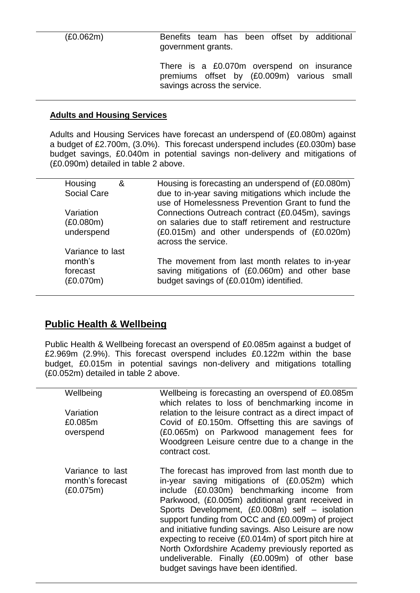(£0.062m) Benefits team has been offset by additional government grants.

> There is a £0.070m overspend on insurance premiums offset by (£0.009m) various small savings across the service.

#### **Adults and Housing Services**

Adults and Housing Services have forecast an underspend of (£0.080m) against a budget of £2.700m, (3.0%). This forecast underspend includes (£0.030m) base budget savings, £0.040m in potential savings non-delivery and mitigations of (£0.090m) detailed in table 2 above.

| Housing            | & | Housing is forecasting an underspend of (£0.080m)   |
|--------------------|---|-----------------------------------------------------|
| <b>Social Care</b> |   | due to in-year saving mitigations which include the |
|                    |   | use of Homelessness Prevention Grant to fund the    |
| Variation          |   | Connections Outreach contract (£0.045m), savings    |
| (E0.080m)          |   | on salaries due to staff retirement and restructure |
|                    |   |                                                     |
| underspend         |   | (£0.015m) and other underspends of (£0.020m)        |
|                    |   | across the service.                                 |
| Variance to last   |   |                                                     |
| month's            |   | The movement from last month relates to in-year     |
|                    |   |                                                     |
| forecast           |   | saving mitigations of (£0.060m) and other base      |
| (E0.070m)          |   | budget savings of (£0.010m) identified.             |
|                    |   |                                                     |
|                    |   |                                                     |

## **Public Health & Wellbeing**

Public Health & Wellbeing forecast an overspend of £0.085m against a budget of £2.969m (2.9%). This forecast overspend includes £0.122m within the base budget, £0.015m in potential savings non-delivery and mitigations totalling (£0.052m) detailed in table 2 above.

| Wellbeing                                         | Wellbeing is forecasting an overspend of £0.085m<br>which relates to loss of benchmarking income in                                                                                                 |
|---------------------------------------------------|-----------------------------------------------------------------------------------------------------------------------------------------------------------------------------------------------------|
| Variation                                         | relation to the leisure contract as a direct impact of                                                                                                                                              |
| £0.085m                                           | Covid of £0.150m. Offsetting this are savings of                                                                                                                                                    |
| overspend                                         | (£0.065m) on Parkwood management fees for                                                                                                                                                           |
|                                                   | Woodgreen Leisure centre due to a change in the                                                                                                                                                     |
|                                                   | contract cost.                                                                                                                                                                                      |
|                                                   |                                                                                                                                                                                                     |
| Variance to last<br>month's forecast<br>(E0.075m) | The forecast has improved from last month due to<br>in-year saving mitigations of (£0.052m) which<br>include (£0.030m) benchmarking income from<br>Parkwood, (£0.005m) additional grant received in |
|                                                   | Sports Development, (£0.008m) self – isolation                                                                                                                                                      |
|                                                   | support funding from OCC and (£0.009m) of project                                                                                                                                                   |
|                                                   | and initiative funding savings. Also Leisure are now                                                                                                                                                |
|                                                   | expecting to receive (£0.014m) of sport pitch hire at                                                                                                                                               |
|                                                   | North Oxfordshire Academy previously reported as                                                                                                                                                    |
|                                                   | undeliverable. Finally (£0.009m) of other base                                                                                                                                                      |
|                                                   | budget savings have been identified.                                                                                                                                                                |
|                                                   |                                                                                                                                                                                                     |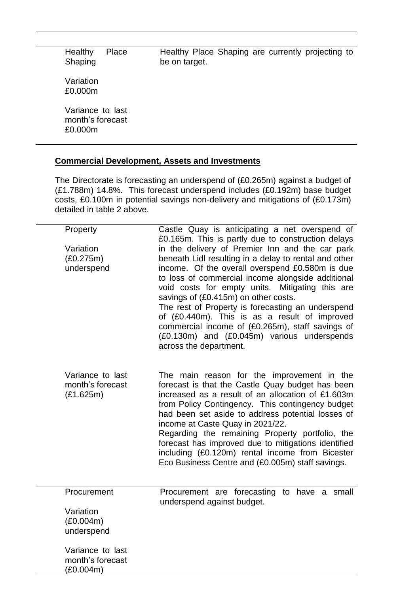| Healthy<br>Shaping                              | Place | Healthy Place Shaping are currently projecting to<br>be on target. |  |  |  |
|-------------------------------------------------|-------|--------------------------------------------------------------------|--|--|--|
| Variation<br>£0.000m                            |       |                                                                    |  |  |  |
| Variance to last<br>month's forecast<br>£0.000m |       |                                                                    |  |  |  |

### **Commercial Development, Assets and Investments**

The Directorate is forecasting an underspend of (£0.265m) against a budget of (£1.788m) 14.8%. This forecast underspend includes (£0.192m) base budget costs, £0.100m in potential savings non-delivery and mitigations of (£0.173m) detailed in table 2 above.

| Property                                          | Castle Quay is anticipating a net overspend of<br>£0.165m. This is partly due to construction delays                                                                                                                                                                                                                                                                                                                                                                                                                                           |
|---------------------------------------------------|------------------------------------------------------------------------------------------------------------------------------------------------------------------------------------------------------------------------------------------------------------------------------------------------------------------------------------------------------------------------------------------------------------------------------------------------------------------------------------------------------------------------------------------------|
| Variation<br>(E0.275m)<br>underspend              | in the delivery of Premier Inn and the car park<br>beneath Lidl resulting in a delay to rental and other<br>income. Of the overall overspend £0.580m is due<br>to loss of commercial income alongside additional<br>void costs for empty units. Mitigating this are<br>savings of (£0.415m) on other costs.<br>The rest of Property is forecasting an underspend<br>of (£0.440m). This is as a result of improved<br>commercial income of (£0.265m), staff savings of<br>(£0.130m) and (£0.045m) various underspends<br>across the department. |
| Variance to last<br>month's forecast<br>(E1.625m) | The main reason for the improvement in the<br>forecast is that the Castle Quay budget has been<br>increased as a result of an allocation of £1.603m<br>from Policy Contingency. This contingency budget<br>had been set aside to address potential losses of<br>income at Caste Quay in 2021/22.<br>Regarding the remaining Property portfolio, the<br>forecast has improved due to mitigations identified<br>including (£0.120m) rental income from Bicester<br>Eco Business Centre and (£0.005m) staff savings.                              |
| Procurement                                       | Procurement are forecasting<br>have a small<br>to<br>underspend against budget.                                                                                                                                                                                                                                                                                                                                                                                                                                                                |
| Variation                                         |                                                                                                                                                                                                                                                                                                                                                                                                                                                                                                                                                |
| (E0.004m)<br>underspend                           |                                                                                                                                                                                                                                                                                                                                                                                                                                                                                                                                                |
| Variance to last<br>month's forecast<br>(E0.004m) |                                                                                                                                                                                                                                                                                                                                                                                                                                                                                                                                                |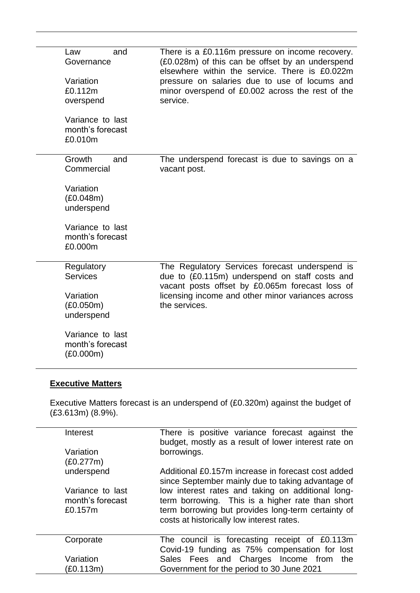| and<br>Law<br>Governance<br>Variation<br>£0.112m<br>overspend | There is a £0.116m pressure on income recovery.<br>(£0.028m) of this can be offset by an underspend<br>elsewhere within the service. There is £0.022m<br>pressure on salaries due to use of locums and<br>minor overspend of £0.002 across the rest of the<br>service. |
|---------------------------------------------------------------|------------------------------------------------------------------------------------------------------------------------------------------------------------------------------------------------------------------------------------------------------------------------|
| Variance to last<br>month's forecast<br>£0.010m               |                                                                                                                                                                                                                                                                        |
| Growth<br>and<br>Commercial                                   | The underspend forecast is due to savings on a<br>vacant post.                                                                                                                                                                                                         |
| Variation<br>(E0.048m)<br>underspend                          |                                                                                                                                                                                                                                                                        |
| Variance to last<br>month's forecast<br>£0.000m               |                                                                                                                                                                                                                                                                        |
| Regulatory<br><b>Services</b>                                 | The Regulatory Services forecast underspend is<br>due to (£0.115m) underspend on staff costs and                                                                                                                                                                       |
| Variation<br>(E0.050m)<br>underspend                          | vacant posts offset by £0.065m forecast loss of<br>licensing income and other minor variances across<br>the services.                                                                                                                                                  |
| Variance to last<br>month's forecast<br>(E0.000m)             |                                                                                                                                                                                                                                                                        |

## **Executive Matters**

Executive Matters forecast is an underspend of (£0.320m) against the budget of (£3.613m) (8.9%).

| Interest                                        | There is positive variance forecast against the<br>budget, mostly as a result of lower interest rate on                                                                                                  |
|-------------------------------------------------|----------------------------------------------------------------------------------------------------------------------------------------------------------------------------------------------------------|
| Variation<br>(E0.277m)                          | borrowings.                                                                                                                                                                                              |
| underspend                                      | Additional £0.157m increase in forecast cost added<br>since September mainly due to taking advantage of                                                                                                  |
| Variance to last<br>month's forecast<br>£0.157m | low interest rates and taking on additional long-<br>term borrowing. This is a higher rate than short<br>term borrowing but provides long-term certainty of<br>costs at historically low interest rates. |
| Corporate                                       | The council is forecasting receipt of £0.113m<br>Covid-19 funding as 75% compensation for lost                                                                                                           |
| Variation                                       | Sales Fees and Charges Income from<br>the                                                                                                                                                                |
| (£0.113m)                                       | Government for the period to 30 June 2021                                                                                                                                                                |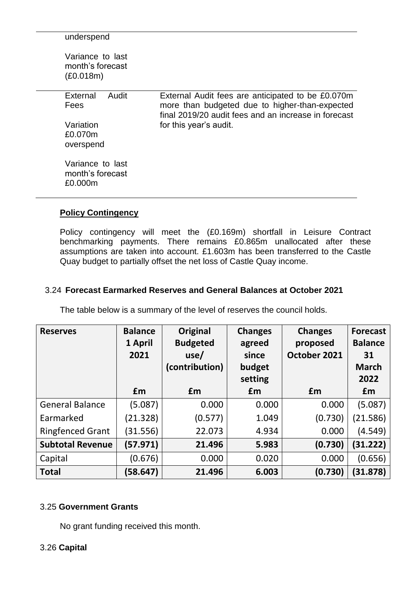| underspend                                        |                                                                                                                                                             |
|---------------------------------------------------|-------------------------------------------------------------------------------------------------------------------------------------------------------------|
| Variance to last<br>month's forecast<br>(E0.018m) |                                                                                                                                                             |
| External<br>Audit<br>Fees                         | External Audit fees are anticipated to be £0.070m<br>more than budgeted due to higher-than-expected<br>final 2019/20 audit fees and an increase in forecast |
| Variation<br>£0.070m<br>overspend                 | for this year's audit.                                                                                                                                      |
| Variance to last<br>month's forecast<br>£0.000m   |                                                                                                                                                             |

### **Policy Contingency**

Policy contingency will meet the (£0.169m) shortfall in Leisure Contract benchmarking payments. There remains £0.865m unallocated after these assumptions are taken into account. £1.603m has been transferred to the Castle Quay budget to partially offset the net loss of Castle Quay income.

### 3.24 **Forecast Earmarked Reserves and General Balances at October 2021**

The table below is a summary of the level of reserves the council holds.

| <b>Reserves</b>         | <b>Balance</b><br>1 April<br>2021 | Original<br><b>Budgeted</b><br>use/<br>(contribution) | <b>Changes</b><br>agreed<br>since<br>budget<br>setting | <b>Changes</b><br>proposed<br>October 2021 | <b>Forecast</b><br><b>Balance</b><br>31<br><b>March</b><br>2022 |
|-------------------------|-----------------------------------|-------------------------------------------------------|--------------------------------------------------------|--------------------------------------------|-----------------------------------------------------------------|
|                         | £m                                | £m                                                    | £m                                                     | £m                                         | £m                                                              |
| <b>General Balance</b>  | (5.087)                           | 0.000                                                 | 0.000                                                  | 0.000                                      | (5.087)                                                         |
| Earmarked               | (21.328)                          | (0.577)                                               | 1.049                                                  | (0.730)                                    | (21.586)                                                        |
| <b>Ringfenced Grant</b> | (31.556)                          | 22.073                                                | 4.934                                                  | 0.000                                      | (4.549)                                                         |
| <b>Subtotal Revenue</b> | (57.971)                          | 21.496                                                | 5.983                                                  | (0.730)                                    | (31.222)                                                        |
| Capital                 | (0.676)                           | 0.000                                                 | 0.020                                                  | 0.000                                      | (0.656)                                                         |
| <b>Total</b>            | (58.647)                          | 21.496                                                | 6.003                                                  | (0.730)                                    | (31.878)                                                        |

#### 3.25 **Government Grants**

No grant funding received this month.

### 3.26 **Capital**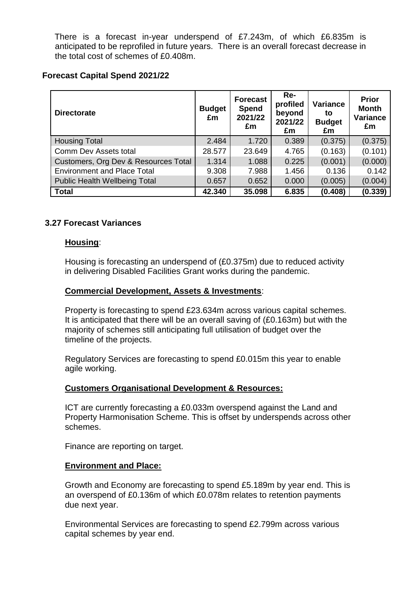There is a forecast in-year underspend of £7.243m, of which £6.835m is anticipated to be reprofiled in future years. There is an overall forecast decrease in the total cost of schemes of £0.408m.

#### **Forecast Capital Spend 2021/22**

| <b>Directorate</b>                   | <b>Budget</b><br>£m | <b>Forecast</b><br>Spend<br>2021/22<br>£m | Re-<br>profiled<br>beyond<br>2021/22<br>£m | <b>Variance</b><br>to<br><b>Budget</b><br>£m | <b>Prior</b><br><b>Month</b><br>Variance<br>£m |
|--------------------------------------|---------------------|-------------------------------------------|--------------------------------------------|----------------------------------------------|------------------------------------------------|
| <b>Housing Total</b>                 | 2.484               | 1.720                                     | 0.389                                      | (0.375)                                      | (0.375)                                        |
| Comm Dev Assets total                | 28.577              | 23.649                                    | 4.765                                      | (0.163)                                      | (0.101)                                        |
| Customers, Org Dev & Resources Total | 1.314               | 1.088                                     | 0.225                                      | (0.001)                                      | (0.000)                                        |
| <b>Environment and Place Total</b>   | 9.308               | 7.988                                     | 1.456                                      | 0.136                                        | 0.142                                          |
| <b>Public Health Wellbeing Total</b> | 0.657               | 0.652                                     | 0.000                                      | (0.005)                                      | (0.004)                                        |
| <b>Total</b>                         | 42.340              | 35.098                                    | 6.835                                      | (0.408)                                      | (0.339)                                        |

### **3.27 Forecast Variances**

#### **Housing**:

Housing is forecasting an underspend of (£0.375m) due to reduced activity in delivering Disabled Facilities Grant works during the pandemic.

#### **Commercial Development, Assets & Investments**:

Property is forecasting to spend £23.634m across various capital schemes. It is anticipated that there will be an overall saving of (£0.163m) but with the majority of schemes still anticipating full utilisation of budget over the timeline of the projects.

Regulatory Services are forecasting to spend £0.015m this year to enable agile working.

#### **Customers Organisational Development & Resources:**

ICT are currently forecasting a £0.033m overspend against the Land and Property Harmonisation Scheme. This is offset by underspends across other schemes.

Finance are reporting on target.

#### **Environment and Place:**

Growth and Economy are forecasting to spend £5.189m by year end. This is an overspend of £0.136m of which £0.078m relates to retention payments due next year.

Environmental Services are forecasting to spend £2.799m across various capital schemes by year end.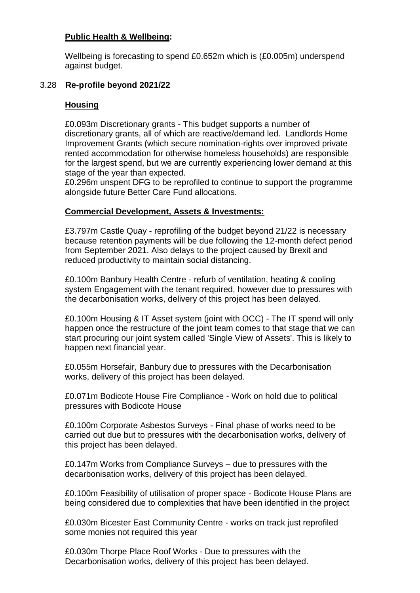#### **Public Health & Wellbeing:**

Wellbeing is forecasting to spend £0.652m which is (£0.005m) underspend against budget.

#### 3.28 **Re-profile beyond 2021/22**

#### **Housing**

£0.093m Discretionary grants - This budget supports a number of discretionary grants, all of which are reactive/demand led. Landlords Home Improvement Grants (which secure nomination-rights over improved private rented accommodation for otherwise homeless households) are responsible for the largest spend, but we are currently experiencing lower demand at this stage of the year than expected.

£0.296m unspent DFG to be reprofiled to continue to support the programme alongside future Better Care Fund allocations.

#### **Commercial Development, Assets & Investments:**

£3.797m Castle Quay - reprofiling of the budget beyond 21/22 is necessary because retention payments will be due following the 12-month defect period from September 2021. Also delays to the project caused by Brexit and reduced productivity to maintain social distancing.

£0.100m Banbury Health Centre - refurb of ventilation, heating & cooling system Engagement with the tenant required, however due to pressures with the decarbonisation works, delivery of this project has been delayed.

£0.100m Housing & IT Asset system (joint with OCC) - The IT spend will only happen once the restructure of the joint team comes to that stage that we can start procuring our joint system called 'Single View of Assets'. This is likely to happen next financial year.

£0.055m Horsefair, Banbury due to pressures with the Decarbonisation works, delivery of this project has been delayed.

£0.071m Bodicote House Fire Compliance - Work on hold due to political pressures with Bodicote House

£0.100m Corporate Asbestos Surveys - Final phase of works need to be carried out due but to pressures with the decarbonisation works, delivery of this project has been delayed.

£0.147m Works from Compliance Surveys – due to pressures with the decarbonisation works, delivery of this project has been delayed.

£0.100m Feasibility of utilisation of proper space - Bodicote House Plans are being considered due to complexities that have been identified in the project

£0.030m Bicester East Community Centre - works on track just reprofiled some monies not required this year

£0.030m Thorpe Place Roof Works - Due to pressures with the Decarbonisation works, delivery of this project has been delayed.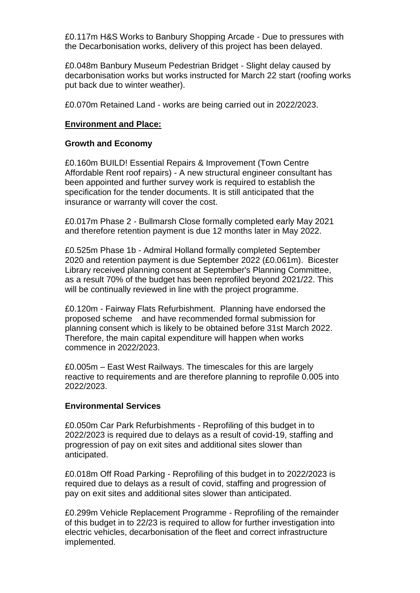£0.117m H&S Works to Banbury Shopping Arcade - Due to pressures with the Decarbonisation works, delivery of this project has been delayed.

£0.048m Banbury Museum Pedestrian Bridget - Slight delay caused by decarbonisation works but works instructed for March 22 start (roofing works put back due to winter weather).

£0.070m Retained Land - works are being carried out in 2022/2023.

#### **Environment and Place:**

#### **Growth and Economy**

£0.160m BUILD! Essential Repairs & Improvement (Town Centre Affordable Rent roof repairs) - A new structural engineer consultant has been appointed and further survey work is required to establish the specification for the tender documents. It is still anticipated that the insurance or warranty will cover the cost.

£0.017m Phase 2 - Bullmarsh Close formally completed early May 2021 and therefore retention payment is due 12 months later in May 2022.

£0.525m Phase 1b - Admiral Holland formally completed September 2020 and retention payment is due September 2022 (£0.061m). Bicester Library received planning consent at September's Planning Committee, as a result 70% of the budget has been reprofiled beyond 2021/22. This will be continually reviewed in line with the project programme.

£0.120m - Fairway Flats Refurbishment. Planning have endorsed the proposed scheme and have recommended formal submission for planning consent which is likely to be obtained before 31st March 2022. Therefore, the main capital expenditure will happen when works commence in 2022/2023.

£0.005m – East West Railways. The timescales for this are largely reactive to requirements and are therefore planning to reprofile 0.005 into 2022/2023.

#### **Environmental Services**

£0.050m Car Park Refurbishments - Reprofiling of this budget in to 2022/2023 is required due to delays as a result of covid-19, staffing and progression of pay on exit sites and additional sites slower than anticipated.

£0.018m Off Road Parking - Reprofiling of this budget in to 2022/2023 is required due to delays as a result of covid, staffing and progression of pay on exit sites and additional sites slower than anticipated.

£0.299m Vehicle Replacement Programme - Reprofiling of the remainder of this budget in to 22/23 is required to allow for further investigation into electric vehicles, decarbonisation of the fleet and correct infrastructure implemented.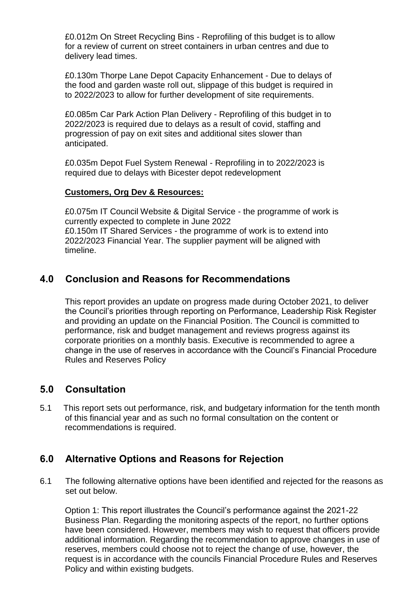£0.012m On Street Recycling Bins - Reprofiling of this budget is to allow for a review of current on street containers in urban centres and due to delivery lead times.

£0.130m Thorpe Lane Depot Capacity Enhancement - Due to delays of the food and garden waste roll out, slippage of this budget is required in to 2022/2023 to allow for further development of site requirements.

£0.085m Car Park Action Plan Delivery - Reprofiling of this budget in to 2022/2023 is required due to delays as a result of covid, staffing and progression of pay on exit sites and additional sites slower than anticipated.

£0.035m Depot Fuel System Renewal - Reprofiling in to 2022/2023 is required due to delays with Bicester depot redevelopment

#### **Customers, Org Dev & Resources:**

£0.075m IT Council Website & Digital Service - the programme of work is currently expected to complete in June 2022 £0.150m IT Shared Services - the programme of work is to extend into 2022/2023 Financial Year. The supplier payment will be aligned with timeline.

### **4.0 Conclusion and Reasons for Recommendations**

This report provides an update on progress made during October 2021, to deliver the Council's priorities through reporting on Performance, Leadership Risk Register and providing an update on the Financial Position. The Council is committed to performance, risk and budget management and reviews progress against its corporate priorities on a monthly basis. Executive is recommended to agree a change in the use of reserves in accordance with the Council's Financial Procedure Rules and Reserves Policy

### **5.0 Consultation**

5.1 This report sets out performance, risk, and budgetary information for the tenth month of this financial year and as such no formal consultation on the content or recommendations is required.

### **6.0 Alternative Options and Reasons for Rejection**

6.1 The following alternative options have been identified and rejected for the reasons as set out below.

Option 1: This report illustrates the Council's performance against the 2021-22 Business Plan. Regarding the monitoring aspects of the report, no further options have been considered. However, members may wish to request that officers provide additional information. Regarding the recommendation to approve changes in use of reserves, members could choose not to reject the change of use, however, the request is in accordance with the councils Financial Procedure Rules and Reserves Policy and within existing budgets.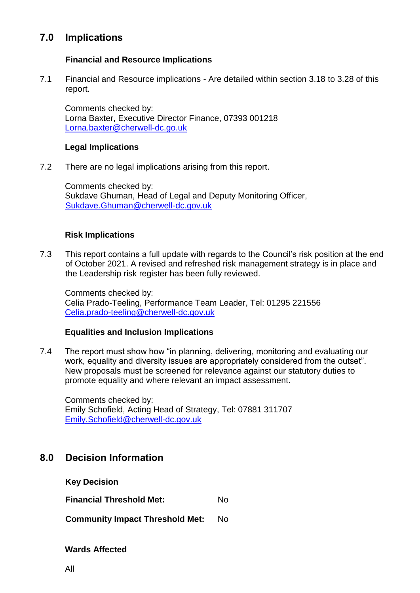## **7.0 Implications**

### **Financial and Resource Implications**

7.1 Financial and Resource implications - Are detailed within section 3.18 to 3.28 of this report.

Comments checked by: Lorna Baxter, Executive Director Finance, 07393 001218 [Lorna.baxter@cherwell-dc.go.uk](mailto:Lorna.baxter@cherwell-dc.go.uk)

#### **Legal Implications**

7.2 There are no legal implications arising from this report.

Comments checked by: Sukdave Ghuman, Head of Legal and Deputy Monitoring Officer, [Sukdave.Ghuman@cherwell-dc.gov.uk](mailto:Sukdave.Ghuman@cherwell-dc.gov.uk)

#### **Risk Implications**

7.3 This report contains a full update with regards to the Council's risk position at the end of October 2021. A revised and refreshed risk management strategy is in place and the Leadership risk register has been fully reviewed.

Comments checked by: Celia Prado-Teeling, Performance Team Leader, Tel: 01295 221556 [Celia.prado-teeling@cherwell-dc.gov.uk](mailto:Celia.prado-teeling@cherwell-dc.gov.uk) 

#### **Equalities and Inclusion Implications**

7.4 The report must show how "in planning, delivering, monitoring and evaluating our work, equality and diversity issues are appropriately considered from the outset". New proposals must be screened for relevance against our statutory duties to promote equality and where relevant an impact assessment.

Comments checked by: Emily Schofield, Acting Head of Strategy, Tel: 07881 311707 [Emily.Schofield@cherwell-dc.gov.uk](mailto:Emily.Schofield@cherwell-dc.gov.uk) 

## **8.0 Decision Information**

**Key Decision**

**Financial Threshold Met:** No

**Community Impact Threshold Met:** No

#### **Wards Affected**